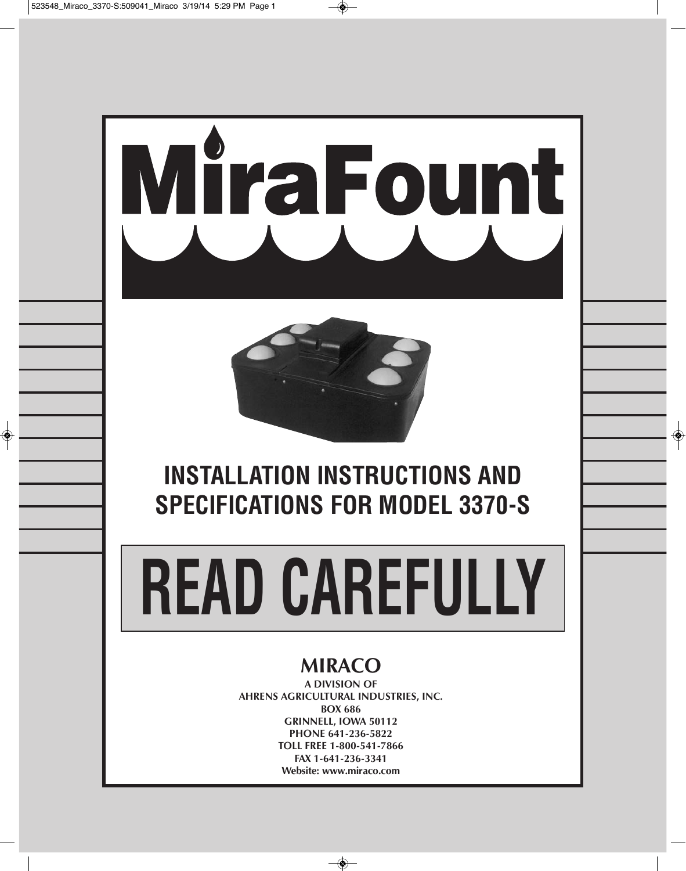



# **INSTALLATION INSTRUCTIONS AND SPECIFICATIONS FOR MODEL 3370-S**

# **READ CAREFULLY**

# **MIRACO**

**A DIVISION OF AHRENS AGRICULTURAL INDUSTRIES, INC. BOX 686 GRINNELL, IOWA 50112 PHONE 641-236-5822 TOLL FREE 1-800-541-7866 FAX 1-641-236-3341 Website: www.miraco.com**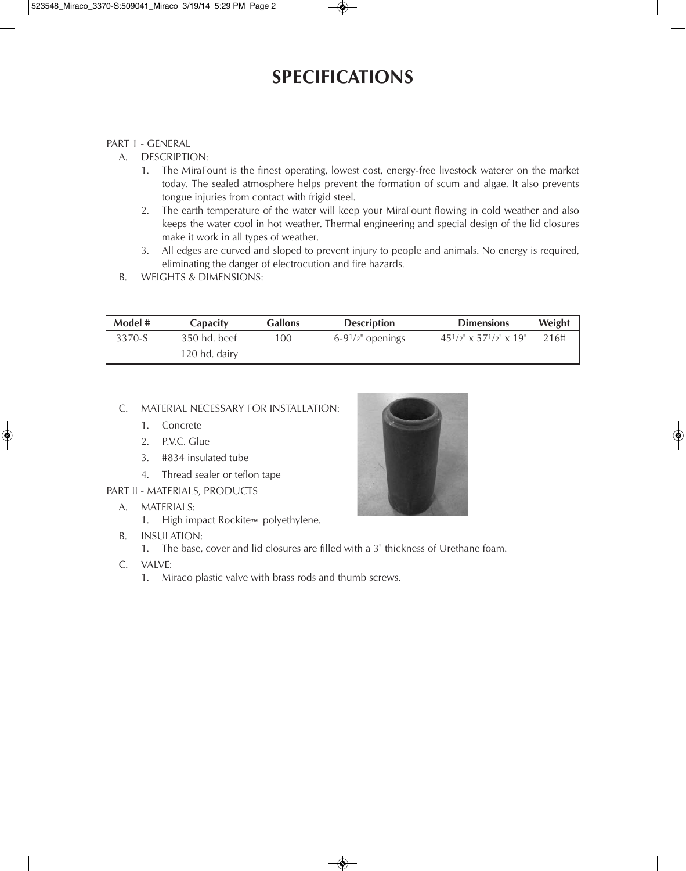## **SPECIFICATIONS**

#### PART 1 - GENERAL

- A. DESCRIPTION:
	- 1. The MiraFount is the finest operating, lowest cost, energy-free livestock waterer on the market today. The sealed atmosphere helps prevent the formation of scum and algae. It also prevents tongue injuries from contact with frigid steel.
	- 2. The earth temperature of the water will keep your MiraFount flowing in cold weather and also keeps the water cool in hot weather. Thermal engineering and special design of the lid closures make it work in all types of weather.
	- 3. All edges are curved and sloped to prevent injury to people and animals. No energy is required, eliminating the danger of electrocution and fire hazards.
- B. WEIGHTS & DIMENSIONS:

| Model # | Capacity      | <b>Gallons</b> | <b>Description</b>  | <b>Dimensions</b>                       | Weight |
|---------|---------------|----------------|---------------------|-----------------------------------------|--------|
| 3370-S  | 350 hd. beef  | 100            | $6-91/2$ " openings | $45^{1}/2" \times 57^{1}/2" \times 19"$ | 216#   |
|         | 120 hd. dairy |                |                     |                                         |        |

#### C. MATERIAL NECESSARY FOR INSTALLATION:

- 1. Concrete
- 2. P.V.C. Glue
- 3. #834 insulated tube
- 4. Thread sealer or teflon tape
- PART II MATERIALS, PRODUCTS
	- A. MATERIALS:
		- 1. High impact Rockite™ polyethylene.
	- B. INSULATION:
		- 1. The base, cover and lid closures are filled with a 3" thickness of Urethane foam.
	- C. VALVE:
		- 1. Miraco plastic valve with brass rods and thumb screws.

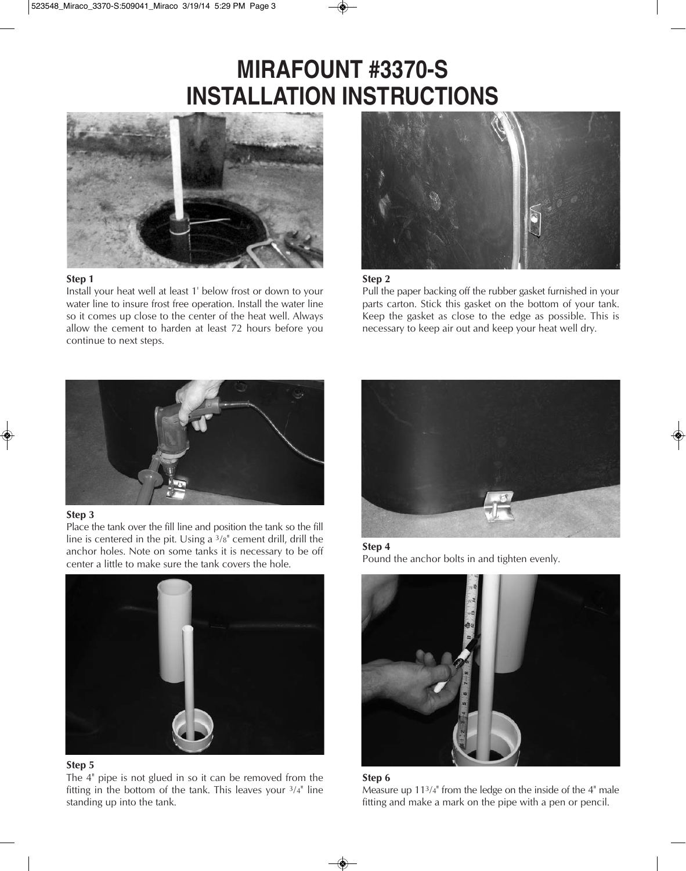# **MIRAFOUNT #3370-S INSTALLATION INSTRUCTIONS**



#### **Step 1**

Install your heat well at least 1' below frost or down to your water line to insure frost free operation. Install the water line so it comes up close to the center of the heat well. Always allow the cement to harden at least 72 hours before you continue to next steps.



#### **Step 2**

Pull the paper backing off the rubber gasket furnished in your parts carton. Stick this gasket on the bottom of your tank. Keep the gasket as close to the edge as possible. This is necessary to keep air out and keep your heat well dry.



#### **Step 3**

Place the tank over the fill line and position the tank so the fill line is centered in the pit. Using a 3/8" cement drill, drill the anchor holes. Note on some tanks it is necessary to be off center a little to make sure the tank covers the hole.



#### **Step 5**

The 4" pipe is not glued in so it can be removed from the fitting in the bottom of the tank. This leaves your 3/4" line standing up into the tank.



**Step 4** Pound the anchor bolts in and tighten evenly.





Measure up 113/4" from the ledge on the inside of the 4" male fitting and make a mark on the pipe with a pen or pencil.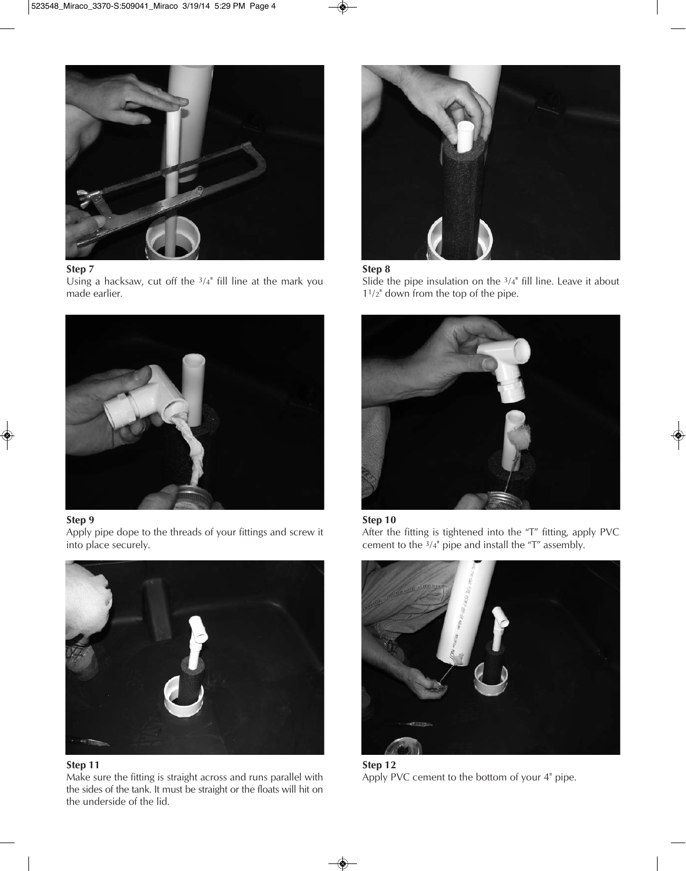

#### **Step 7**

Using a hacksaw, cut off the 3/4" fill line at the mark you made earlier.



#### **Step 9**

Apply pipe dope to the threads of your fittings and screw it into place securely.



#### **Step 11**

Make sure the fitting is straight across and runs parallel with the sides of the tank. It must be straight or the floats will hit on the underside of the lid.



#### **Step 8**

Slide the pipe insulation on the 3/4" fill line. Leave it about 11/2" down from the top of the pipe.



#### **Step 10**

After the fitting is tightened into the "T" fitting, apply PVC cement to the 3/4" pipe and install the "T" assembly.



**Step 12** Apply PVC cement to the bottom of your 4" pipe.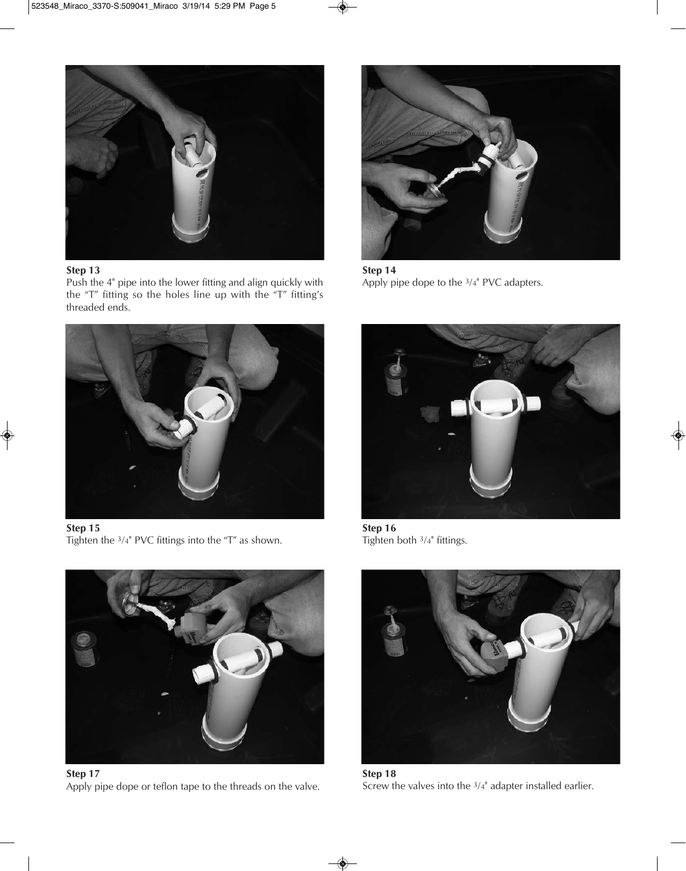

#### **Step 13**

Push the 4" pipe into the lower fitting and align quickly with the "T" fitting so the holes line up with the "T" fitting's threaded ends.



**Step 14** Apply pipe dope to the 3/4" PVC adapters.



**Step 15** Tighten the 3/4" PVC fittings into the "T" as shown.



**Step 17** Apply pipe dope or teflon tape to the threads on the valve.



**Step 16** Tighten both 3/4" fittings.



**Step 18** Screw the valves into the 3/4" adapter installed earlier.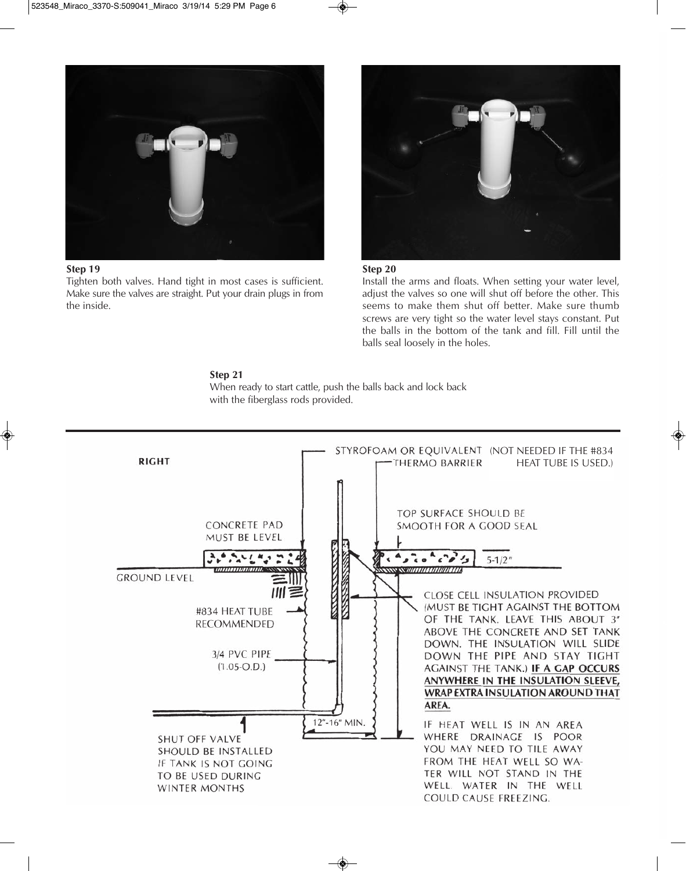

#### **Step 19**

Tighten both valves. Hand tight in most cases is sufficient. Make sure the valves are straight. Put your drain plugs in from the inside.



#### **Step 20**

Install the arms and floats. When setting your water level, adjust the valves so one will shut off before the other. This seems to make them shut off better. Make sure thumb screws are very tight so the water level stays constant. Put the balls in the bottom of the tank and fill. Fill until the balls seal loosely in the holes.

#### **Step 21**

When ready to start cattle, push the balls back and lock back with the fiberglass rods provided.

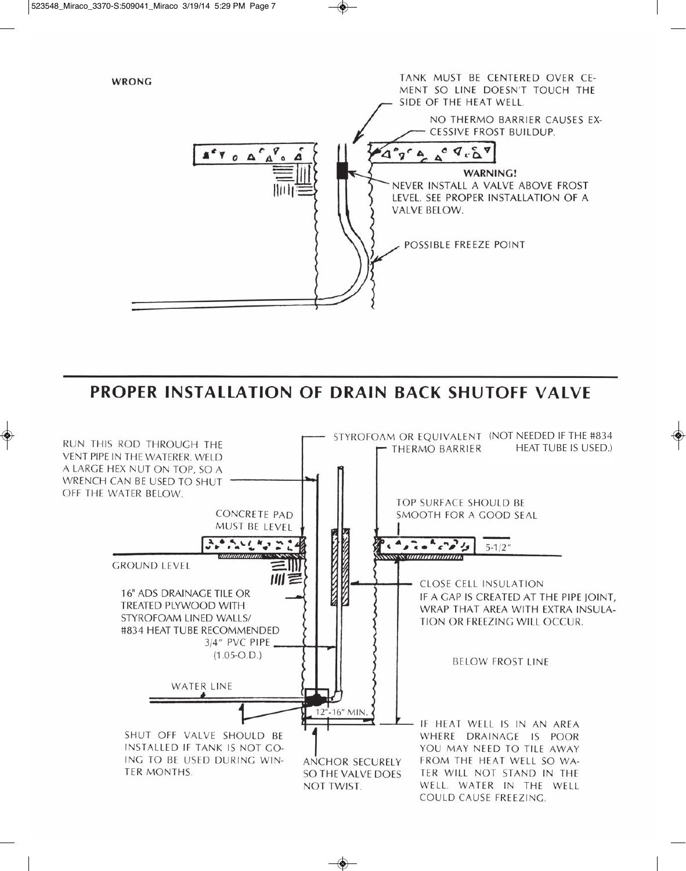

### PROPER INSTALLATION OF DRAIN BACK SHUTOFF VALVE